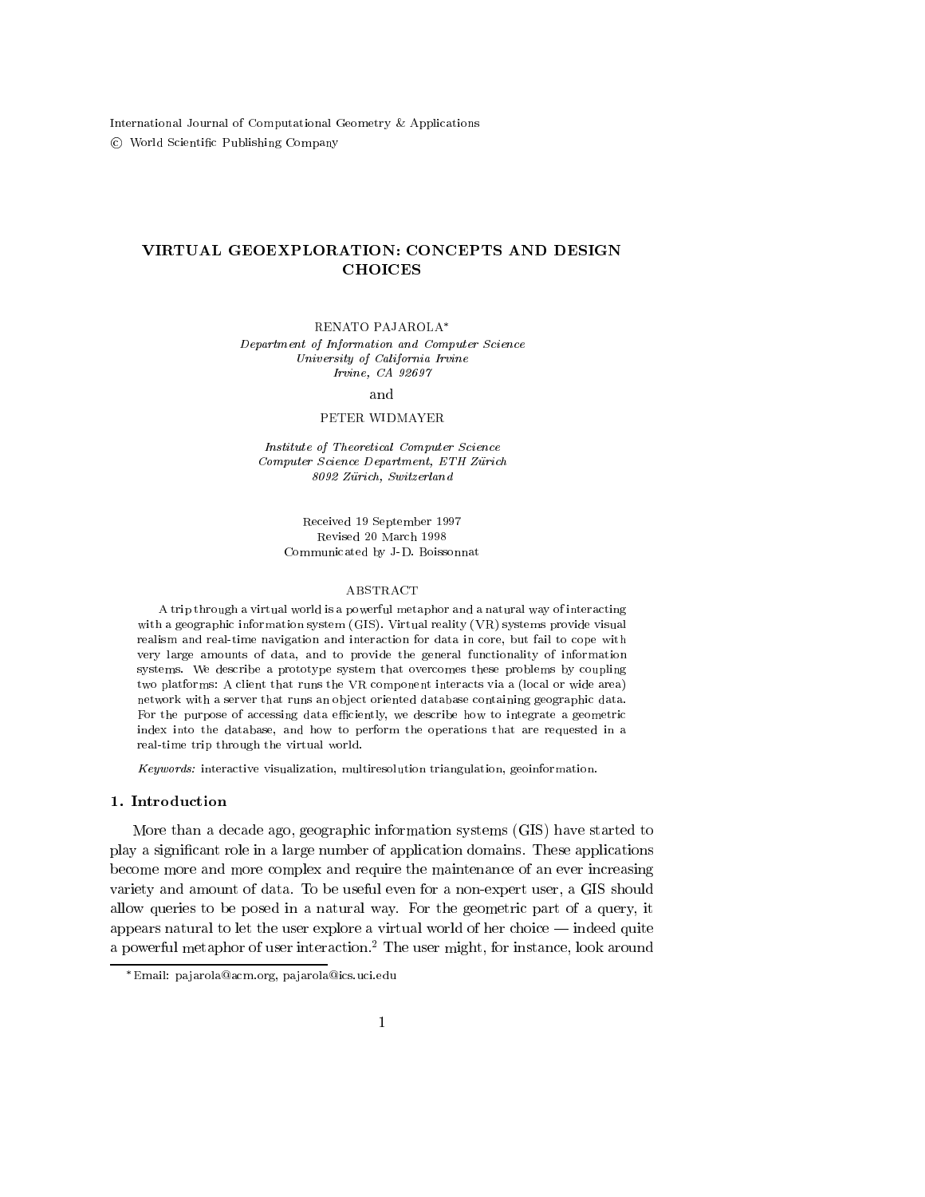International Journal of Computational Geometry & Applications <sup>c</sup> World Scientic Publishing Company

# VIRTUAL GEOEXPLORATION: CONCEPTS AND DESIGN

#### RENATO PAJAROLA

Department of Information and Computer Science University of California Irvine Irvine, CA 92697

#### and

#### PETER WIDMAYER

Institute of Theoretical Computer Science Computer Science Department, ETH Zurich 8092 Zurich, Switzerland

> Received 19 September 1997 Revised 20 March 1998 Communicated by J-D. Boissonnat

#### ABSTRACT

A trip through a virtual world is a powerful metaphor and a natural way of interacting with a geographic information system (GIS). Virtual reality (VR) systems provide visual realism and real-time navigation and interaction for data in core, but fail to cope with very large amounts of data, and to provide the general functionality of information systems. We describe a prototype system that overcomes these problems by coupling two platforms: A client that runs the VR component interacts via a (local or wide area) network with a server that runs an object oriented database containing geographic data. For the purpose of accessing data efficiently, we describe how to integrate a geometric index into the database, and how to perform the operations that are requested in a real-time trip through the virtual world.

Keywords: interactive visualization, multiresolution triangulation, geoinformation.

# 1. Introduction

More than a decade ago, geographic information systems (GIS) have started to play a signicant role in a large number of application domains. These applications become more and more complex and require the maintenance of an ever increasing variety and amount of data. To be useful even for a non-expert user, a GIS should allow queries to be posed in a natural way. For the geometric part of a query, it appears natural to let the user explore a virtual world of her choice  $-$  indeed quite a powerful metaphor of user interaction.<sup>2</sup> The user might, for instance, look around

Email: pa jarola@acm.org, pa jarola@ics.uci.edu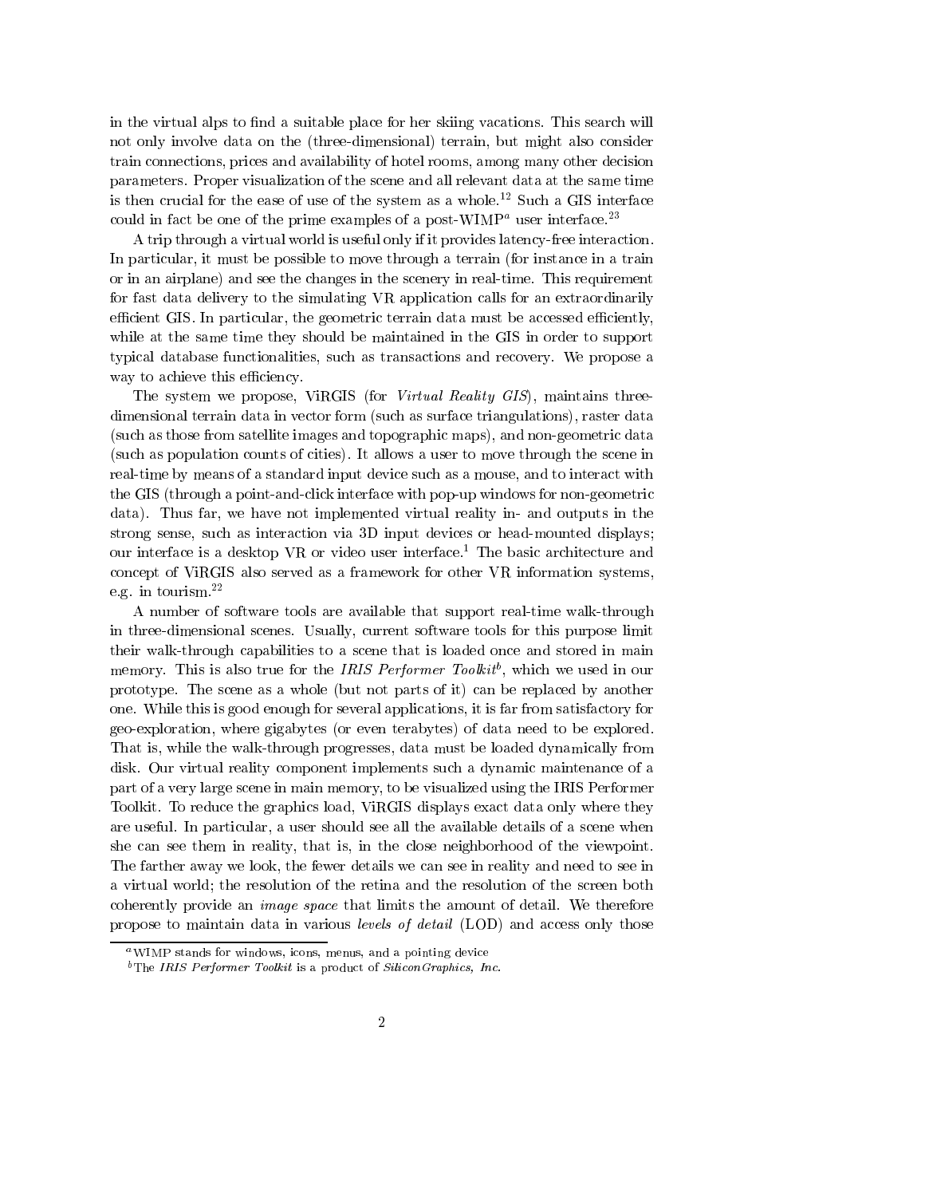in the virtual alps to find a suitable place for her skiing vacations. This search will not only involve data on the (three-dimensional) terrain, but might also consider train connections, prices and availability of hotel rooms, among many other decision parameters. Proper visualization of the scene and all relevant data at the same time is then crucial for the ease of use of the system as a whole.<sup>12</sup> Such a GIS interface could in fact be one of the prime examples of a post-WIMP<sup>a</sup> user interface.<sup>23</sup>

A trip through a virtual world is useful only if it provides latency-free interaction. In particular, it must be possible to move through a terrain (for instance in a train or in an airplane) and see the changes in the scenery in real-time. This requirement for fast data delivery to the simulating VR application calls for an extraordinarily efficient GIS. In particular, the geometric terrain data must be accessed efficiently, while at the same time they should be maintained in the GIS in order to support typical database functionalities, such as transactions and recovery. We propose a way to achieve this efficiency.

The system we propose, ViRGIS (for Virtual Reality GIS), maintains threedimensional terrain data in vector form (such as surface triangulations), raster data (such as those from satellite images and topographic maps), and non-geometric data (such as population counts of cities). It allows a user to move through the scene in real-time by means of a standard input device such as a mouse, and to interact with the GIS (through a point-and-click interface with pop-up windows for non-geometric data). Thus far, we have not implemented virtual reality in- and outputs in the strong sense, such as interaction via 3D input devices or head-mounted displays; our interface is a desktop VR or video user interface.<sup>1</sup> The basic architecture and concept of ViRGIS also served as a framework for other VR information systems, e.g. in tourism.22

A number of software tools are available that support real-time walk-through in three-dimensional scenes. Usually, current software tools for this purpose limit their walk-through capabilities to a scene that is loaded once and stored in main memory. This is also true for the *IRIS Performer Toolku* , which we used in our prototype. The scene as a whole (but not parts of it) can be replaced by another one. While this is good enough for several applications, it is far from satisfactory for geo-exploration, where gigabytes (or even terabytes) of data need to be explored. That is, while the walk-through progresses, data must be loaded dynamically from disk. Our virtual reality component implements such a dynamic maintenance of a part of a very large scene in main memory, to be visualized using the IRIS Performer Toolkit. To reduce the graphics load, ViRGIS displays exact data only where they are useful. In particular, a user should see all the available details of a scene when she can see them in reality, that is, in the close neighborhood of the viewpoint. The farther away we look, the fewer details we can see in reality and need to see in a virtual world; the resolution of the retina and the resolution of the screen both coherently provide an image space that limits the amount of detail. We therefore propose to maintain data in various levels of detail (LOD) and access only those

aWIMP stands for windows, icons, menus, and a pointing device

 $b$ The IRIS Performer Toolkit is a product of Silicon Graphics, Inc.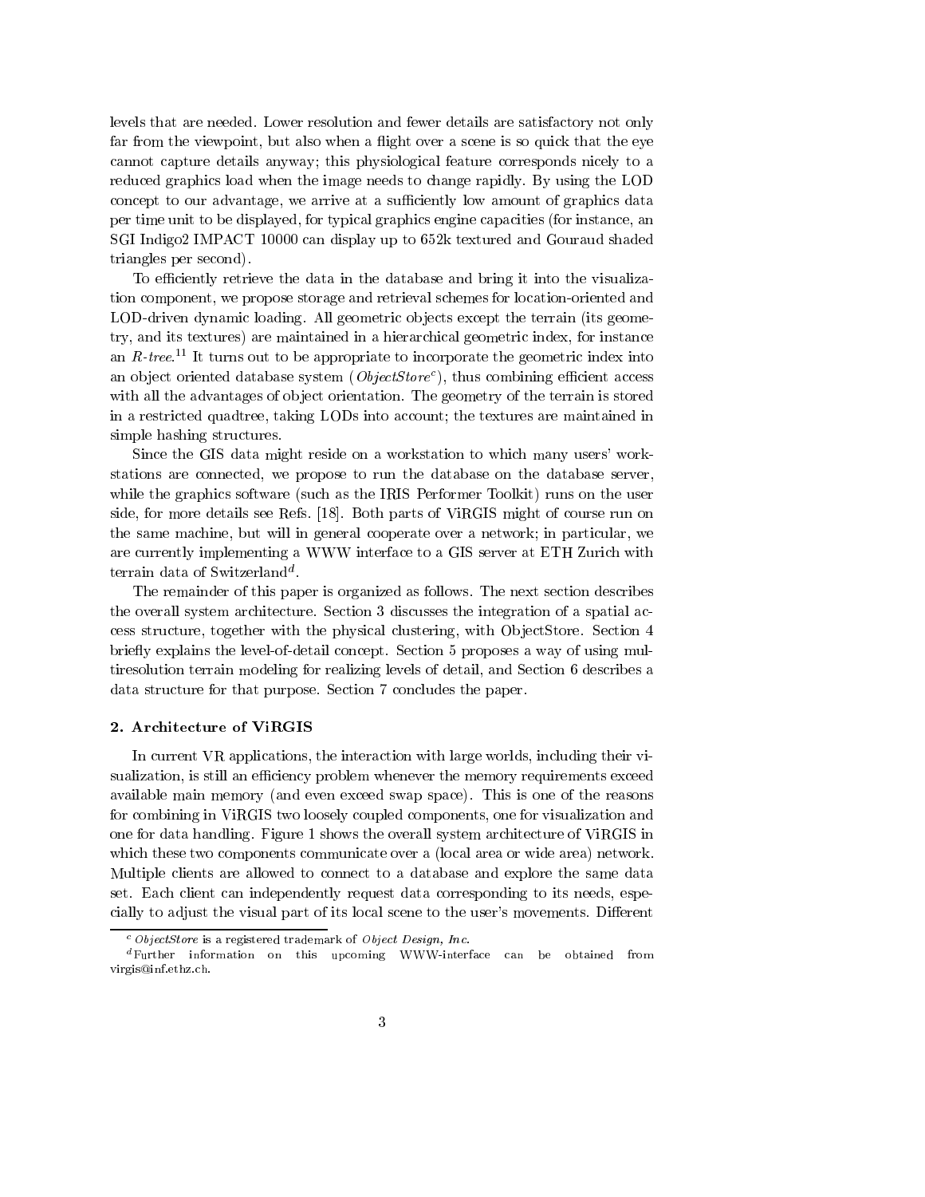levels that are needed. Lower resolution and fewer details are satisfactory not only far from the viewpoint, but also when a flight over a scene is so quick that the eye cannot capture details anyway; this physiological feature corresponds nicely to a reduced graphics load when the image needs to change rapidly. By using the LOD concept to our advantage, we arrive at a sufficiently low amount of graphics data per time unit to be displayed, for typical graphics engine capacities (for instance, an SGI Indigo2 IMPACT 10000 can display up to 652k textured and Gouraud shaded triangles per second).

To efficiently retrieve the data in the database and bring it into the visualization component, we propose storage and retrieval schemes for location-oriented and LOD-driven dynamic loading. All geometric objects except the terrain (its geometry, and its textures) are maintained in a hierarchical geometric index, for instance an  $R$ -tree.<sup>11</sup> It turns out to be appropriate to incorporate the geometric index into an object oriented database system (*ObjectStore*), thus combining eniclem access with all the advantages of object orientation. The geometry of the terrain is stored in a restricted quadtree, taking LODs into account; the textures are maintained in simple hashing structures.

Since the GIS data might reside on a workstation to which many users' workstations are connected, we propose to run the database on the database server, while the graphics software (such as the IRIS Performer Toolkit) runs on the user side, for more details see Refs. [18]. Both parts of ViRGIS might of course run on the same machine, but will in general cooperate over a network; in particular, we are currently implementing a WWW interface to a GIS server at ETH Zurich with terrain data of Switzerland<sup>d</sup>.

The remainder of this paper is organized as follows. The next section describes the overall system architecture. Section 3 discusses the integration of a spatial access structure, together with the physical clustering, with Ob jectStore. Section 4 briefly explains the level-of-detail concept. Section 5 proposes a way of using multiresolution terrain modeling for realizing levels of detail, and Section 6 describes a data structure for that purpose. Section 7 concludes the paper.

## 2. Architecture of ViRGIS

In current VR applications, the interaction with large worlds, including their visualization, is still an efficiency problem whenever the memory requirements exceed available main memory (and even exceed swap space). This is one of the reasons for combining in ViRGIS two loosely coupled components, one for visualization and one for data handling. Figure 1 shows the overall system architecture of ViRGIS in which these two components communicate over a (local area or wide area) network. Multiple clients are allowed to connect to a database and explore the same data set. Each client can independently request data corresponding to its needs, especially to adjust the visual part of its local scene to the user's movements. Different

 $c$  ObjectStore is a registered trademark of Object Design, Inc.

dFurther information on this upcoming WWW-interface can be obtained from virgis@inf.ethz.ch.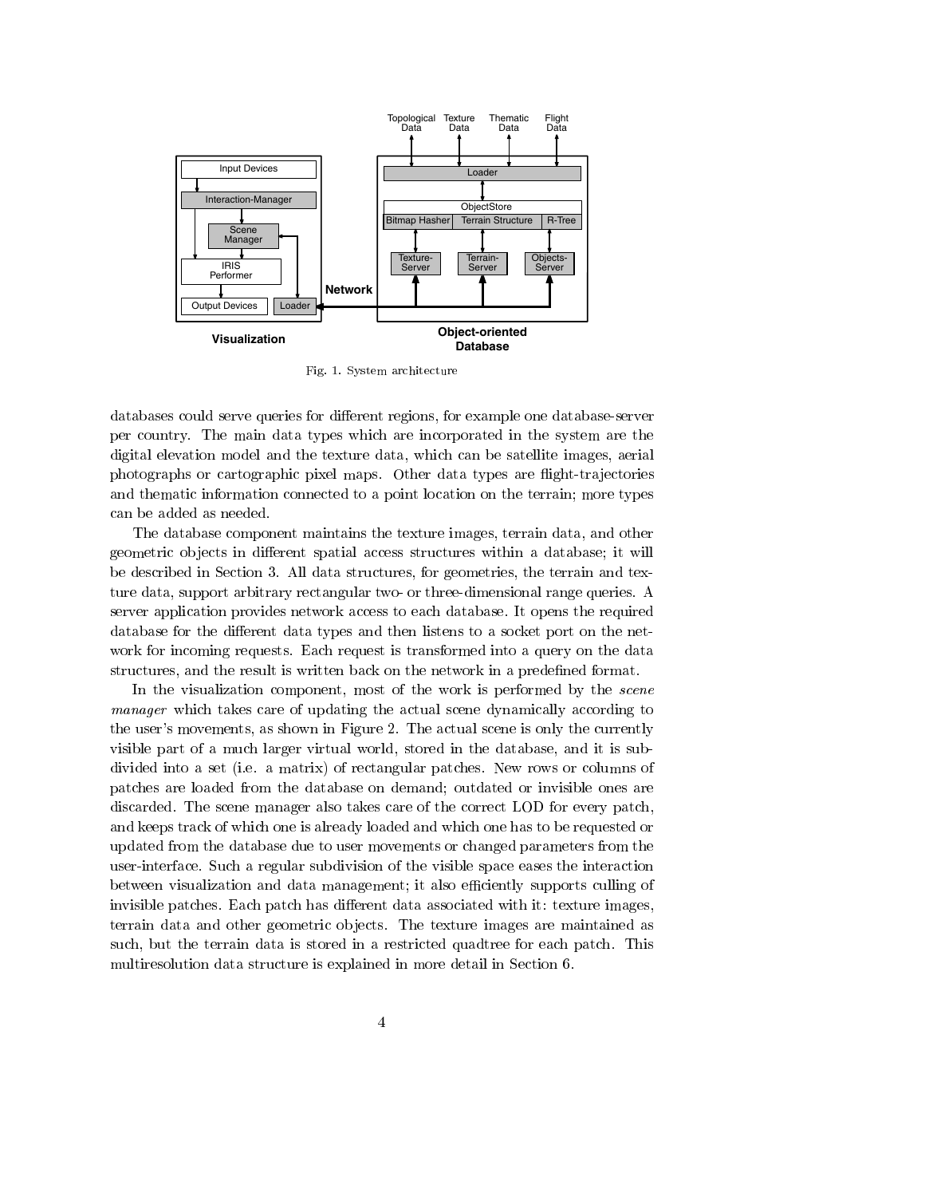

Fig. 1. System architecture

databases could serve queries for different regions, for example one database-server per country. The main data types which are incorporated in the system are the digital elevation model and the texture data, which can be satellite images, aerial photographs or cartographic pixel maps. Other data types are flight-trajectories and thematic information connected to a point location on the terrain; more types can be added as needed.

The database component maintains the texture images, terrain data, and other geometric objects in different spatial access structures within a database; it will be described in Section 3. All data structures, for geometries, the terrain and texture data, support arbitrary rectangular two- or three-dimensional range queries. A server application provides network access to each database. It opens the required database for the different data types and then listens to a socket port on the network for incoming requests. Each request is transformed into a query on the data structures, and the result is written back on the network in a predefined format.

In the visualization component, most of the work is performed by the *scene* manager which takes care of updating the actual scene dynamically according to the user's movements, as shown in Figure 2. The actual scene is only the currently visible part of a much larger virtual world, stored in the database, and it is subdivided into a set (i.e. a matrix) of rectangular patches. New rows or columns of patches are loaded from the database on demand; outdated or invisible ones are discarded. The scene manager also takes care of the correct LOD for every patch, and keeps track of which one is already loaded and which one has to be requested or updated from the database due to user movements or changed parameters from the user-interface. Such a regular subdivision of the visible space eases the interaction between visualization and data management; it also efficiently supports culling of invisible patches. Each patch has different data associated with it: texture images, terrain data and other geometric ob jects. The texture images are maintained as such, but the terrain data is stored in a restricted quadtree for each patch. This multiresolution data structure is explained in more detail in Section 6.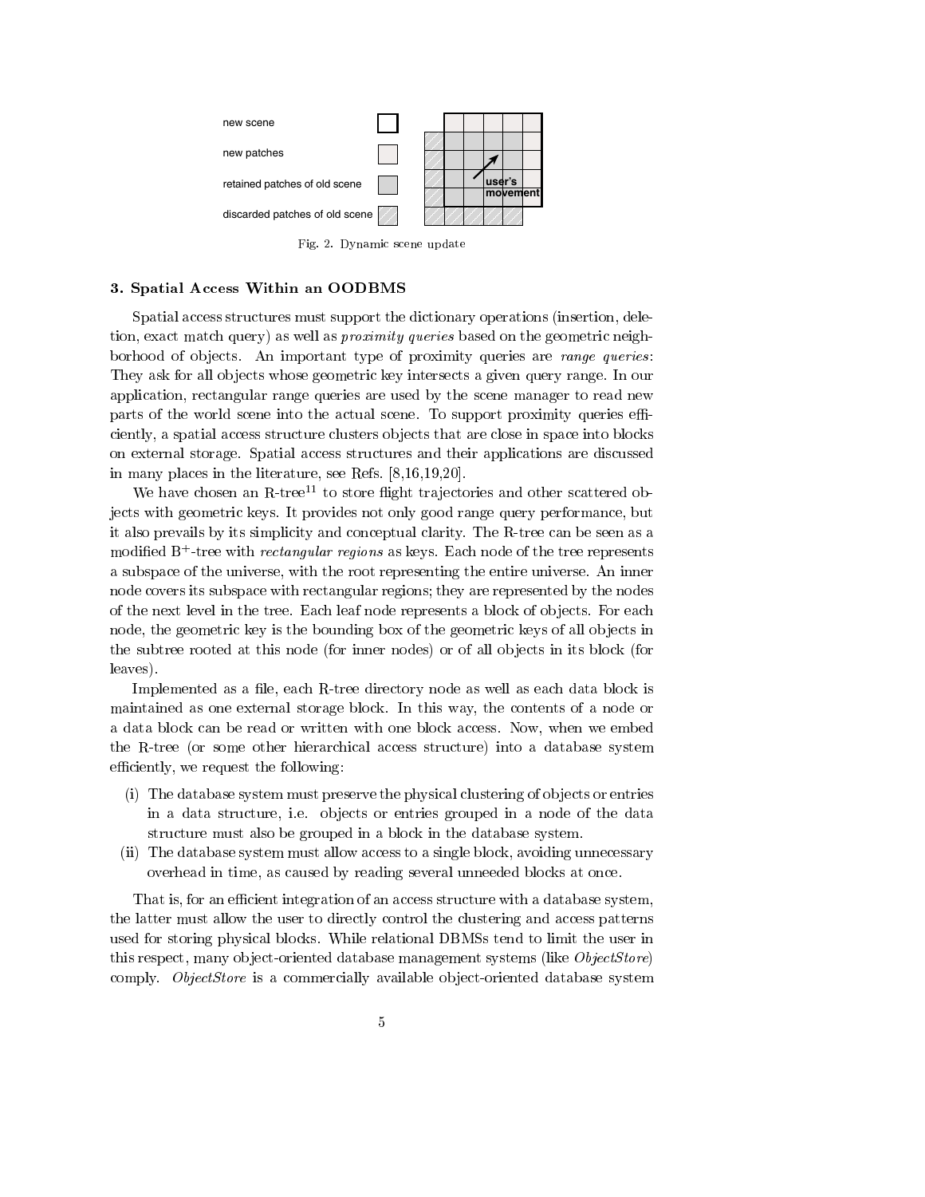

Fig. 2. Dynamic scene update

## 3. Spatial Access Within an OODBMS

Spatial access structures must support the dictionary operations (insertion, deletion, exact match query) as well as *proximity queries* based on the geometric neighborhood of objects. An important type of proximity queries are *range queries*: They ask for all ob jects whose geometric key intersects a given query range. In our application, rectangular range queries are used by the scene manager to read new parts of the world scene into the actual scene. To support proximity queries efficiently, a spatial access structure clusters ob jects that are close in space into blocks on external storage. Spatial access structures and their applications are discussed in many places in the literature, see Refs. [8,16,19,20].

We have chosen an  $R$ -tree<sup>11</sup> to store flight trajectories and other scattered objects with geometric keys. It provides not only good range query performance, but it also prevails by its simplicity and conceptual clarity. The R-tree can be seen as a modified **D** -tree with *rectangular regions* as keys. Each node of the tree represents a subspace of the universe, with the root representing the entire universe. An inner node covers its subspace with rectangular regions; they are represented by the nodes of the next level in the tree. Each leaf node represents a block of ob jects. For each node, the geometric key is the bounding box of the geometric keys of all ob jects in the subtree rooted at this node (for inner nodes) or of all objects in its block (for leaves).

Implemented as a file, each R-tree directory node as well as each data block is maintained as one external storage block. In this way, the contents of a node or a data block can be read or written with one block access. Now, when we embed the R-tree (or some other hierarchical access structure) into a database system efficiently, we request the following:

- (i) The database system must preserve the physical clustering of ob jects or entries in a data structure, i.e. ob jects or entries grouped in a node of the data structure must also be grouped in a block in the database system.
- (ii) The database system must allow access to a single block, avoiding unnecessary overhead in time, as caused by reading several unneeded blocks at once.

That is, for an efficient integration of an access structure with a database system, the latter must allow the user to directly control the clustering and access patterns used for storing physical blocks. While relational DBMSs tend to limit the user in this respect, many object-oriented database management systems (like *ObjectStore*) comply. ObjectStore is a commercially available object-oriented database system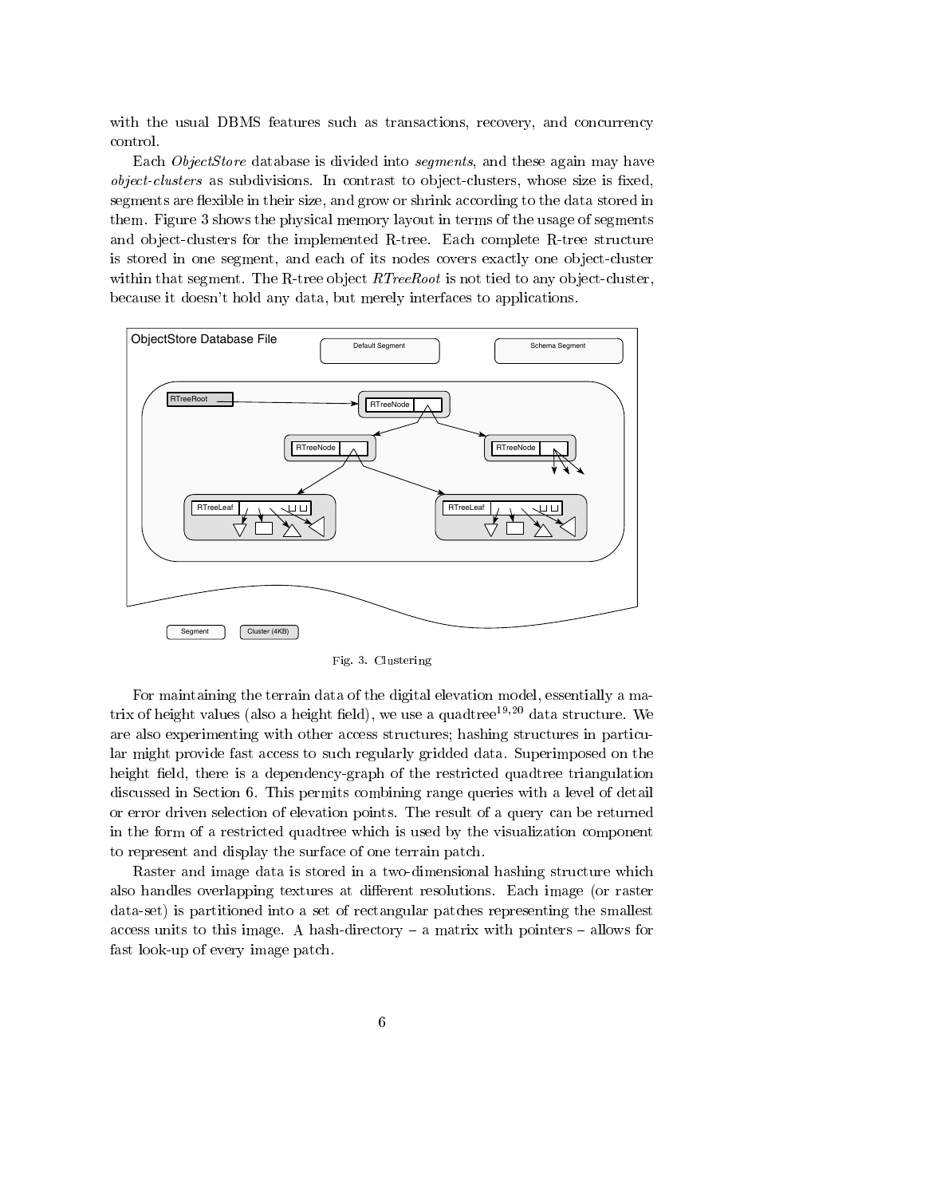with the usual DBMS features such as transactions, recovery, and concurrency control.

Each ObjectStore database is divided into segments, and these again may have object-clusters as subdivisions. In contrast to ob ject-clusters, whose size is xed, segments are flexible in their size, and grow or shrink according to the data stored in them. Figure 3 shows the physical memory layout in terms of the usage of segments and object-clusters for the implemented R-tree. Each complete R-tree structure is stored in one segment, and each of its nodes covers exactly one object-cluster within that segment. The R-tree object  $RTreeRoot$  is not tied to any object-cluster, because it doesn't hold any data, but merely interfaces to applications.



Fig. 3. Clustering

For maintaining the terrain data of the digital elevation model, essentially a matrix of height values (also a height field), we use a quadtree<sup>19,20</sup> data structure. We are also experimenting with other access structures; hashing structures in particular might provide fast access to such regularly gridded data. Superimposed on the height field, there is a dependency-graph of the restricted quadtree triangulation discussed in Section 6. This permits combining range queries with a level of detail or error driven selection of elevation points. The result of a query can be returned in the form of a restricted quadtree which is used by the visualization component to represent and display the surface of one terrain patch.

Raster and image data is stored in a two-dimensional hashing structure which also handles overlapping textures at different resolutions. Each image (or raster data-set) is partitioned into a set of rectangular patches representing the smallest access units to this image. A hash-directory  $-$  a matrix with pointers  $-$  allows for fast look-up of every image patch.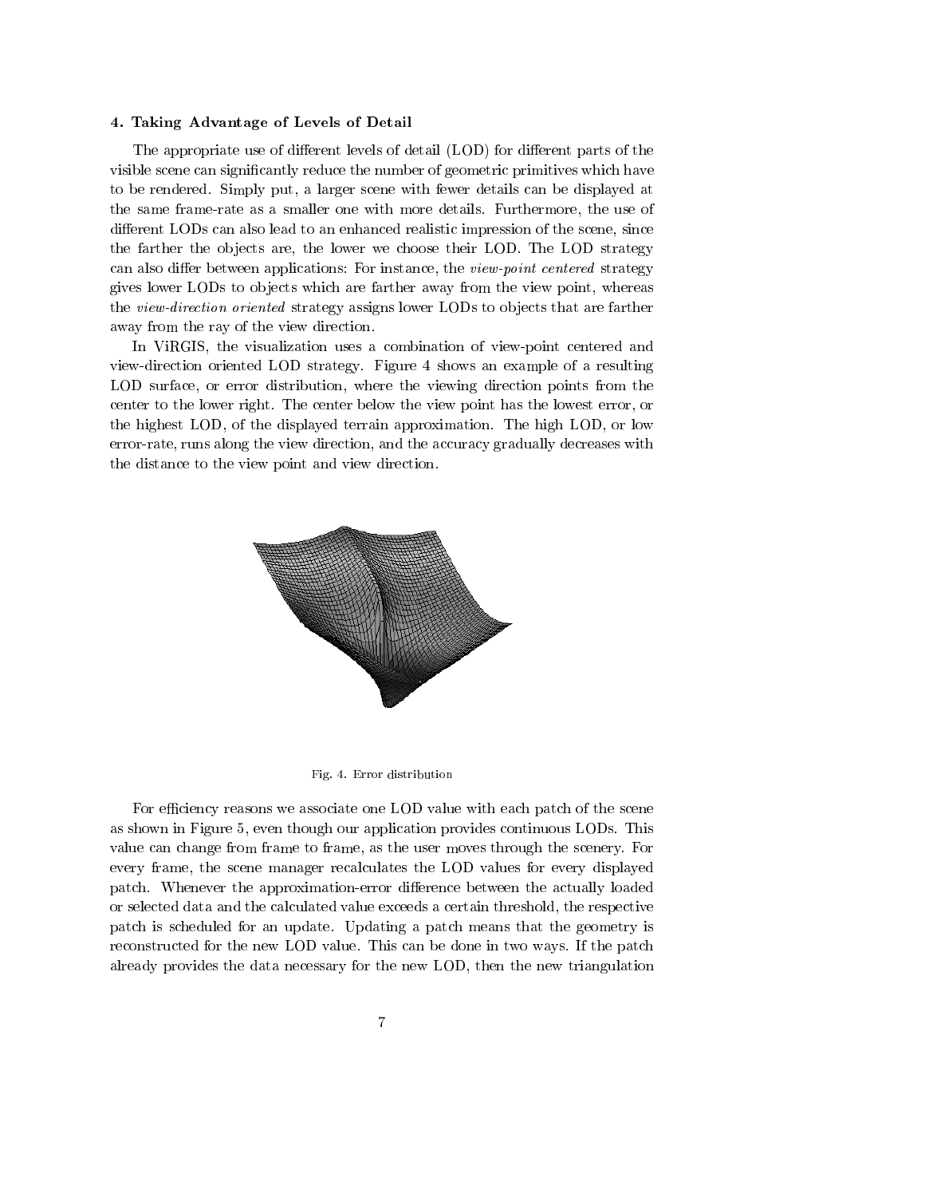#### 4. Taking Advantage of Levels of Detail

The appropriate use of different levels of detail (LOD) for different parts of the visible scene can signicantly reduce the number of geometric primitives which have to be rendered. Simply put, a larger scene with fewer details can be displayed at the same frame-rate as a smaller one with more details. Furthermore, the use of different LODs can also lead to an enhanced realistic impression of the scene, since the farther the objects are, the lower we choose their LOD. The LOD strategy can also differ between applications: For instance, the *view-point centered* strategy gives lower LODs to ob jects which are farther away from the view point, whereas the view-direction oriented strategy assigns lower LODs to objects that are farther away from the ray of the view direction.

In ViRGIS, the visualization uses a combination of view-point centered and view-direction oriented LOD strategy. Figure 4 shows an example of a resulting LOD surface, or error distribution, where the viewing direction points from the center to the lower right. The center below the view point has the lowest error, or the highest LOD, of the displayed terrain approximation. The high LOD, or low error-rate, runs along the view direction, and the accuracy gradually decreases with the distance to the view point and view direction.



Fig. 4. Error distribution

For efficiency reasons we associate one LOD value with each patch of the scene as shown in Figure 5, even though our application provides continuous LODs. This value can change from frame to frame, as the user moves through the scenery. For every frame, the scene manager recalculates the LOD values for every displayed patch. Whenever the approximation-error difference between the actually loaded or selected data and the calculated value exceeds a certain threshold, the respective patch is scheduled for an update. Updating a patch means that the geometry is reconstructed for the new LOD value. This can be done in two ways. If the patch already provides the data necessary for the new LOD, then the new triangulation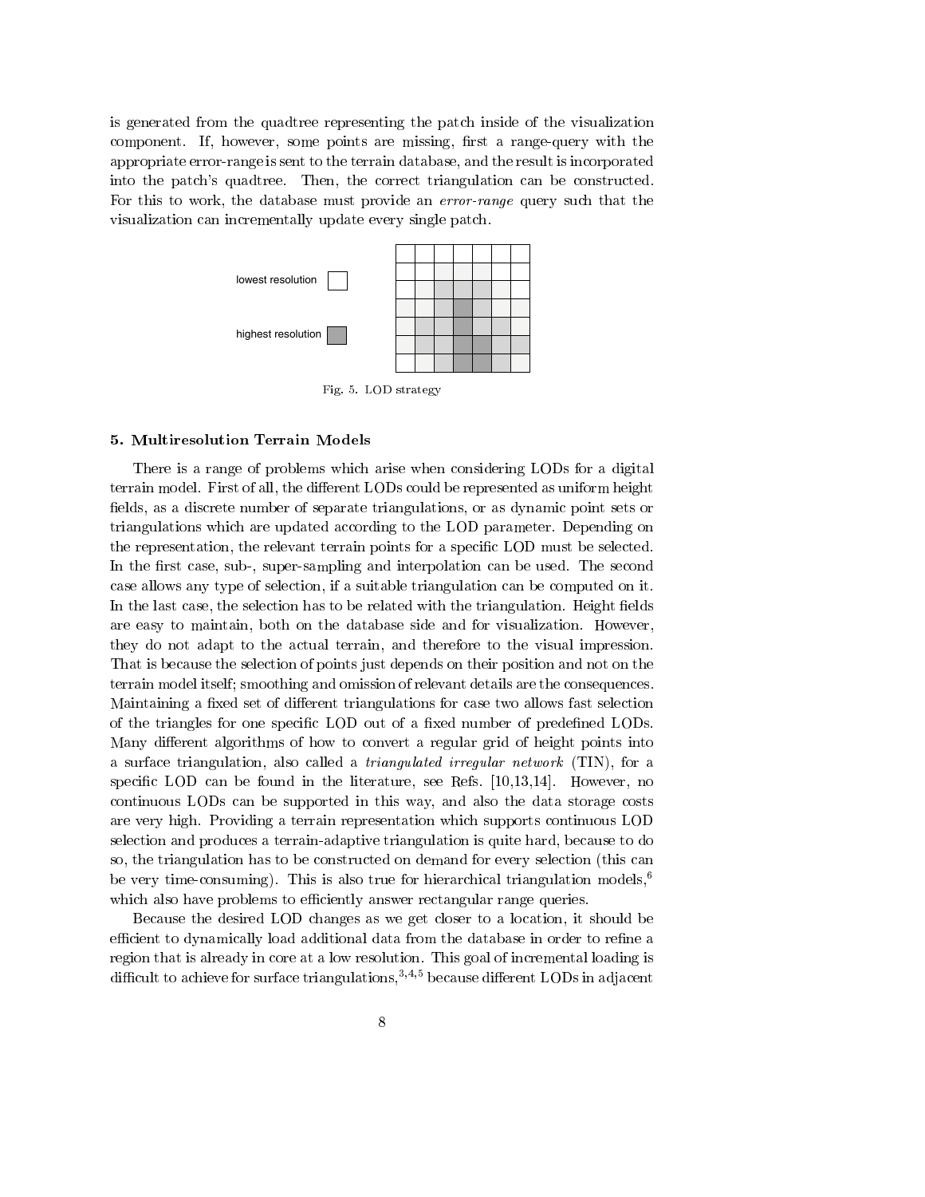is generated from the quadtree representing the patch inside of the visualization component. If, however, some points are missing, first a range-query with the appropriate error-range is sent to the terrain database, and the result is incorporated into the patch's quadtree. Then, the correct triangulation can be constructed. For this to work, the database must provide an error-range query such that the visualization can incrementally update every single patch.



5. Multiresolution Terrain Models

There is a range of problems which arise when considering LODs for a digital terrain model. First of all, the different LODs could be represented as uniform height fields, as a discrete number of separate triangulations, or as dynamic point sets or triangulations which are updated according to the LOD parameter. Depending on the representation, the relevant terrain points for a specic LOD must be selected. In the first case, sub-, super-sampling and interpolation can be used. The second case allows any type of selection, if a suitable triangulation can be computed on it. In the last case, the selection has to be related with the triangulation. Height fields are easy to maintain, both on the database side and for visualization. However, they do not adapt to the actual terrain, and therefore to the visual impression. That is because the selection of points just depends on their position and not on the terrain model itself; smoothing and omission of relevant details are the consequences. Maintaining a fixed set of different triangulations for case two allows fast selection of the triangles for one specific LOD out of a fixed number of predefined LODs. Many different algorithms of how to convert a regular grid of height points into a surface triangulation, also called a triangulated irregular network (TIN), for a specific LOD can be found in the literature, see Refs.  $[10,13,14]$ . However, no continuous LODs can be supported in this way, and also the data storage costs are very high. Providing a terrain representation which supports continuous LOD selection and produces a terrain-adaptive triangulation is quite hard, because to do so, the triangulation has to be constructed on demand for every selection (this can be very time-consuming). This is also true for hierarchical triangulation models,6 which also have problems to efficiently answer rectangular range queries.

Because the desired LOD changes as we get closer to a location, it should be efficient to dynamically load additional data from the database in order to refine a region that is already in core at a low resolution. This goal of incremental loading is difficult to achieve for surface triangulations,  $3,4,5$  because different LODs in adjacent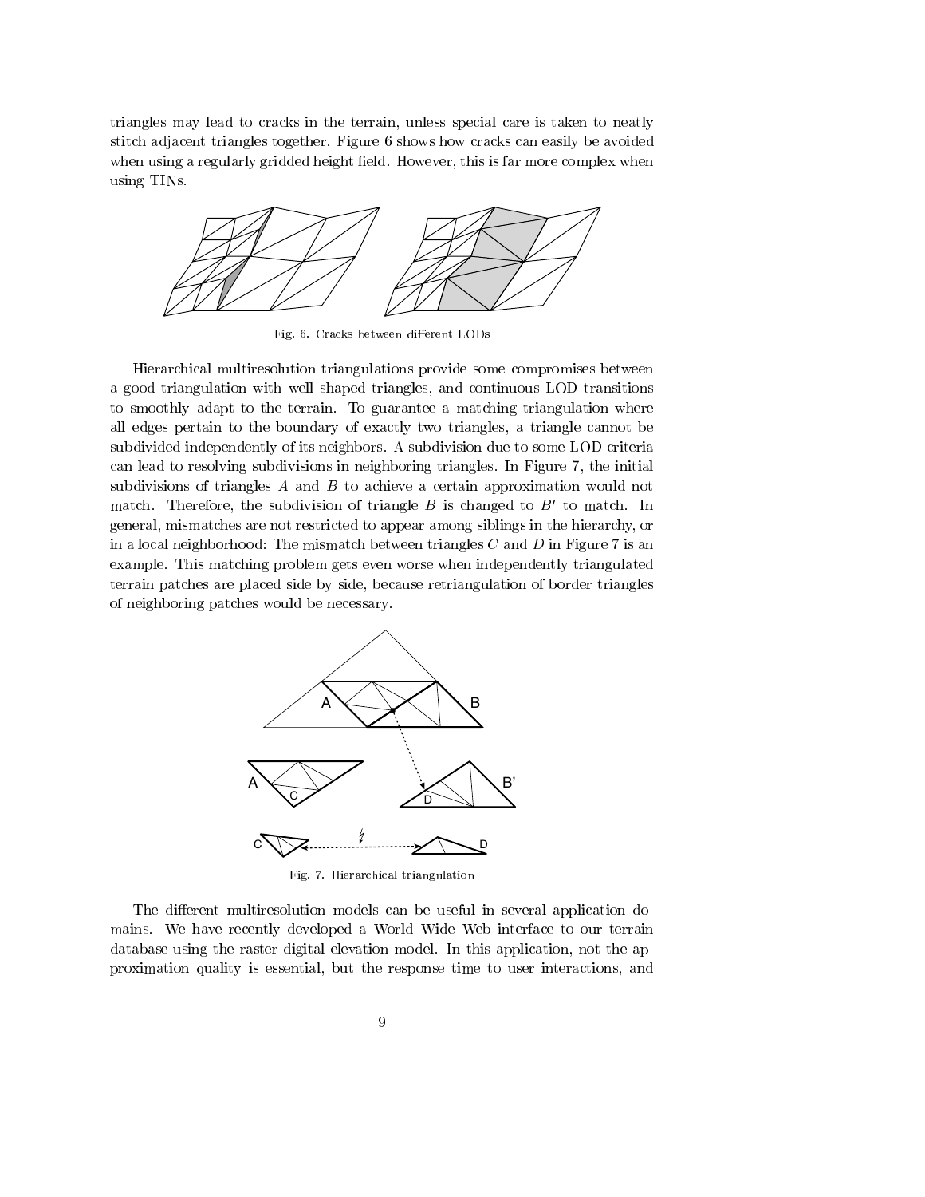triangles may lead to cracks in the terrain, unless special care is taken to neatly stitch adjacent triangles together. Figure 6 shows how cracks can easily be avoided when using a regularly gridded height field. However, this is far more complex when using TINs.



Fig. 6. Cracks between different LODs

Hierarchical multiresolution triangulations provide some compromises between a good triangulation with well shaped triangles, and continuous LOD transitions to smoothly adapt to the terrain. To guarantee a matching triangulation where all edges pertain to the boundary of exactly two triangles, a triangle cannot be subdivided independently of its neighbors. A subdivision due to some LOD criteria can lead to resolving subdivisions in neighboring triangles. In Figure 7, the initial subdivisions of triangles A and B to achieve a certain approximation would not match. Therefore, the subdivision of triangle  $B$  is changed to  $B'$  to match. In general, mismatches are not restricted to appear among siblings in the hierarchy, or in a local neighborhood: The mismatch between triangles  $C$  and  $D$  in Figure 7 is an example. This matching problem gets even worse when independently triangulated terrain patches are placed side by side, because retriangulation of border triangles of neighboring patches would be necessary.



Fig. 7. Hierarchical triangulation

The different multiresolution models can be useful in several application domains. We have recently developed a World Wide Web interface to our terrain database using the raster digital elevation model. In this application, not the approximation quality is essential, but the response time to user interactions, and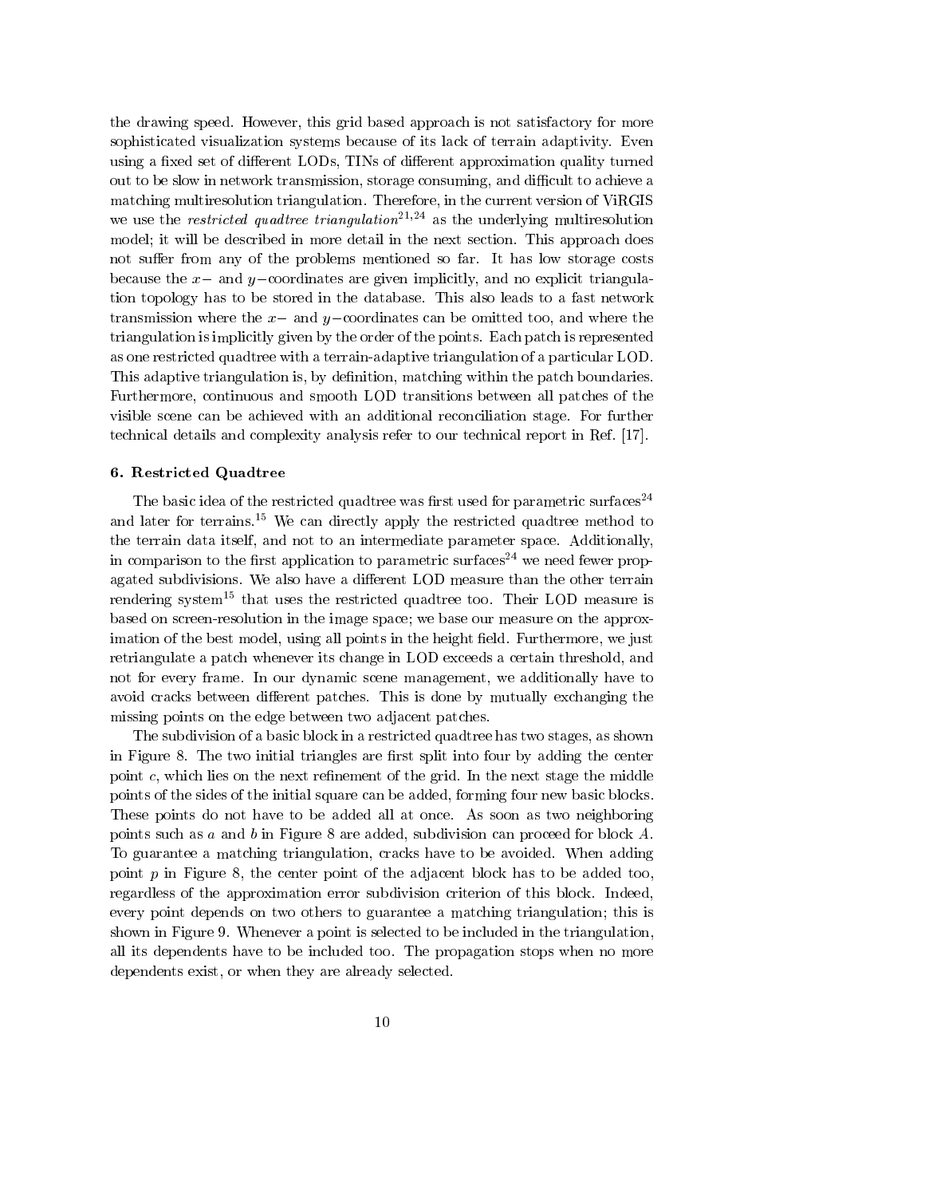the drawing speed. However, this grid based approach is not satisfactory for more sophisticated visualization systems because of its lack of terrain adaptivity. Even using a fixed set of different LODs, TINs of different approximation quality turned out to be slow in network transmission, storage consuming, and difficult to achieve a matching multiresolution triangulation. Therefore, in the current version of ViRGIS we use the *restricted quadtree triangulation*<sup>21,24</sup> as the underlying multiresolution model; it will be described in more detail in the next section. This approach does not suffer from any of the problems mentioned so far. It has low storage costs because the  $x-$  and  $y-$ coordinates are given implicitly, and no explicit triangulation topology has to be stored in the database. This also leads to a fast network transmission where the  $x-$  and  $y-$ coordinates can be omitted too, and where the triangulation is implicitly given by the order of the points. Each patch is represented as one restricted quadtree with a terrain-adaptive triangulation of a particular LOD. This adaptive triangulation is, by definition, matching within the patch boundaries. Furthermore, continuous and smooth LOD transitions between all patches of the visible scene can be achieved with an additional reconciliation stage. For further technical details and complexity analysis refer to our technical report in Ref. [17].

## 6. Restricted Quadtree

The basic idea of the restricted quadtree was first used for parametric surfaces<sup>24</sup> and later for terrains.<sup>15</sup> We can directly apply the restricted quadtree method to the terrain data itself, and not to an intermediate parameter space. Additionally, in comparison to the first application to parametric surfaces<sup>24</sup> we need fewer propagated subdivisions. We also have a different LOD measure than the other terrain rendering system<sup>15</sup> that uses the restricted quadtree too. Their LOD measure is based on screen-resolution in the image space; we base our measure on the approximation of the best model, using all points in the height field. Furthermore, we just retriangulate a patch whenever its change in LOD exceeds a certain threshold, and not for every frame. In our dynamic scene management, we additionally have to avoid cracks between different patches. This is done by mutually exchanging the missing points on the edge between two adjacent patches.

The subdivision of a basic block in a restricted quadtree has two stages, as shown in Figure 8. The two initial triangles are first split into four by adding the center point  $c$ , which lies on the next refinement of the grid. In the next stage the middle points of the sides of the initial square can be added, forming four new basic blocks. These points do not have to be added all at once. As soon as two neighboring points such as a and b in Figure 8 are added, subdivision can proceed for block  $A$ . To guarantee a matching triangulation, cracks have to be avoided. When adding point  $p$  in Figure 8, the center point of the adjacent block has to be added too, regardless of the approximation error subdivision criterion of this block. Indeed, every point depends on two others to guarantee a matching triangulation; this is shown in Figure 9. Whenever a point is selected to be included in the triangulation, all its dependents have to be included too. The propagation stops when no more dependents exist, or when they are already selected.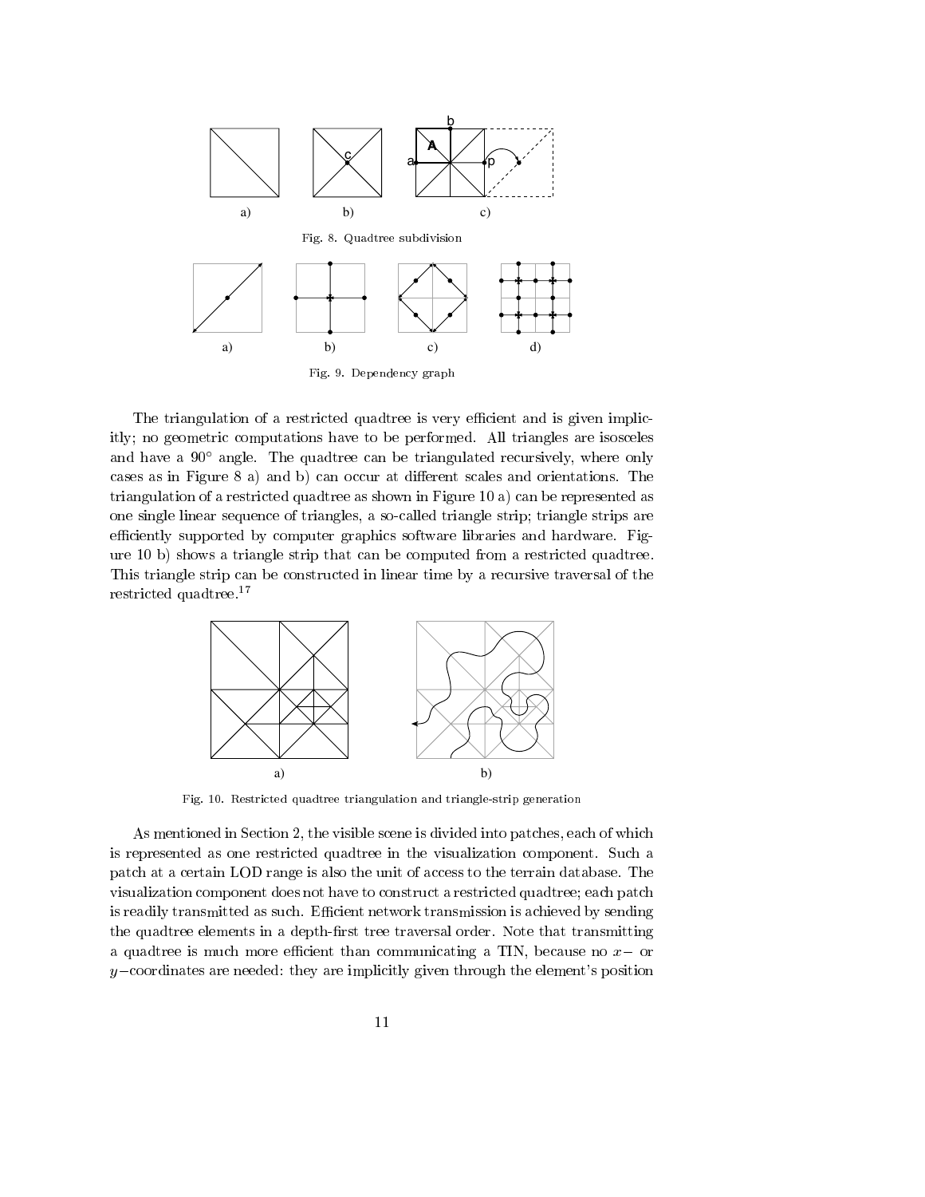

The triangulation of a restricted quadtree is very efficient and is given implicitly; no geometric computations have to be performed. All triangles are isosceles and have a  $90^{\circ}$  angle. The quadtree can be triangulated recursively, where only cases as in Figure 8 a) and b) can occur at different scales and orientations. The triangulation of a restricted quadtree as shown in Figure 10 a) can be represented as one single linear sequence of triangles, a so-called triangle strip; triangle strips are efficiently supported by computer graphics software libraries and hardware. Figure 10 b) shows a triangle strip that can be computed from a restricted quadtree. This triangle strip can be constructed in linear time by a recursive traversal of the restricted quadtree.<sup>17</sup>



Fig. 10. Restricted quadtree triangulation and triangle-strip generation

As mentioned in Section 2, the visible scene is divided into patches, each of which is represented as one restricted quadtree in the visualization component. Such a patch at a certain LOD range is also the unit of access to the terrain database. The visualization component does not have to construct a restricted quadtree; each patch is readily transmitted as such. Efficient network transmission is achieved by sending the quadtree elements in a depth-first tree traversal order. Note that transmitting a quadtree is much more efficient than communicating a TIN, because no  $x-$  or  $y$ -coordinates are needed: they are implicitly given through the element's position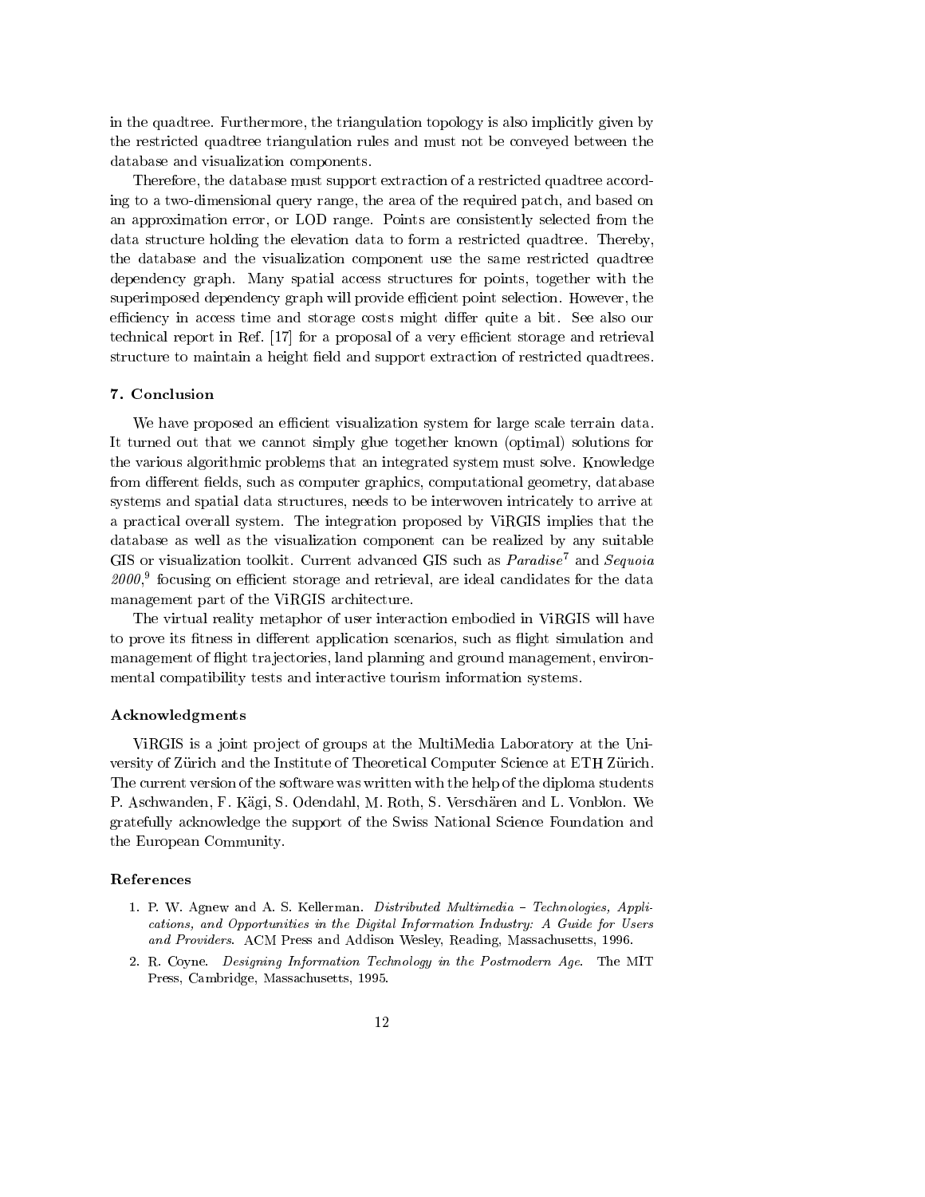in the quadtree. Furthermore, the triangulation topology is also implicitly given by the restricted quadtree triangulation rules and must not be conveyed between the database and visualization components.

Therefore, the database must support extraction of a restricted quadtree according to a two-dimensional query range, the area of the required patch, and based on an approximation error, or LOD range. Points are consistently selected from the data structure holding the elevation data to form a restricted quadtree. Thereby, the database and the visualization component use the same restricted quadtree dependency graph. Many spatial access structures for points, together with the superimposed dependency graph will provide efficient point selection. However, the efficiency in access time and storage costs might differ quite a bit. See also our technical report in Ref.  $[17]$  for a proposal of a very efficient storage and retrieval structure to maintain a height field and support extraction of restricted quadtrees.

# 7. Conclusion

We have proposed an efficient visualization system for large scale terrain data. It turned out that we cannot simply glue together known (optimal) solutions for the various algorithmic problems that an integrated system must solve. Knowledge from different fields, such as computer graphics, computational geometry, database systems and spatial data structures, needs to be interwoven intricately to arrive at a practical overall system. The integration proposed by ViRGIS implies that the database as well as the visualization component can be realized by any suitable GIS or visualization toolkit. Current advanced GIS such as Paradise<sup>7</sup> and Sequoia  $z$ 000, $\degree$  focusing on emclem storage and retrieval, are ideal candidates for the data  $\degree$ management part of the ViRGIS architecture.

The virtual reality metaphor of user interaction embodied in ViRGIS will have to prove its fitness in different application scenarios, such as flight simulation and management of flight trajectories, land planning and ground management, environmental compatibility tests and interactive tourism information systems.

#### Acknowledgments

ViRGIS is a joint project of groups at the MultiMedia Laboratory at the University of Zürich and the Institute of Theoretical Computer Science at ETH Zürich. The current version of the software was written with the help of the diploma students P. Aschwanden, F. Kagi, S. Odendahl, M. Roth, S. Verscharen and L. Vonblon. We gratefully acknowledge the support of the Swiss National Science Foundation and the European Community.

## References

- 1. P. W. Agnew and A. S. Kellerman. Distributed Multimedia Technologies, Applications, and Opportunities in the Digital Information Industry: A Guide for Users and Providers. ACM Press and Addison Wesley, Reading, Massachusetts, 1996.
- 2. R. Coyne. Designing Information Technology in the Postmodern Age. The MIT Press, Cambridge, Massachusetts, 1995.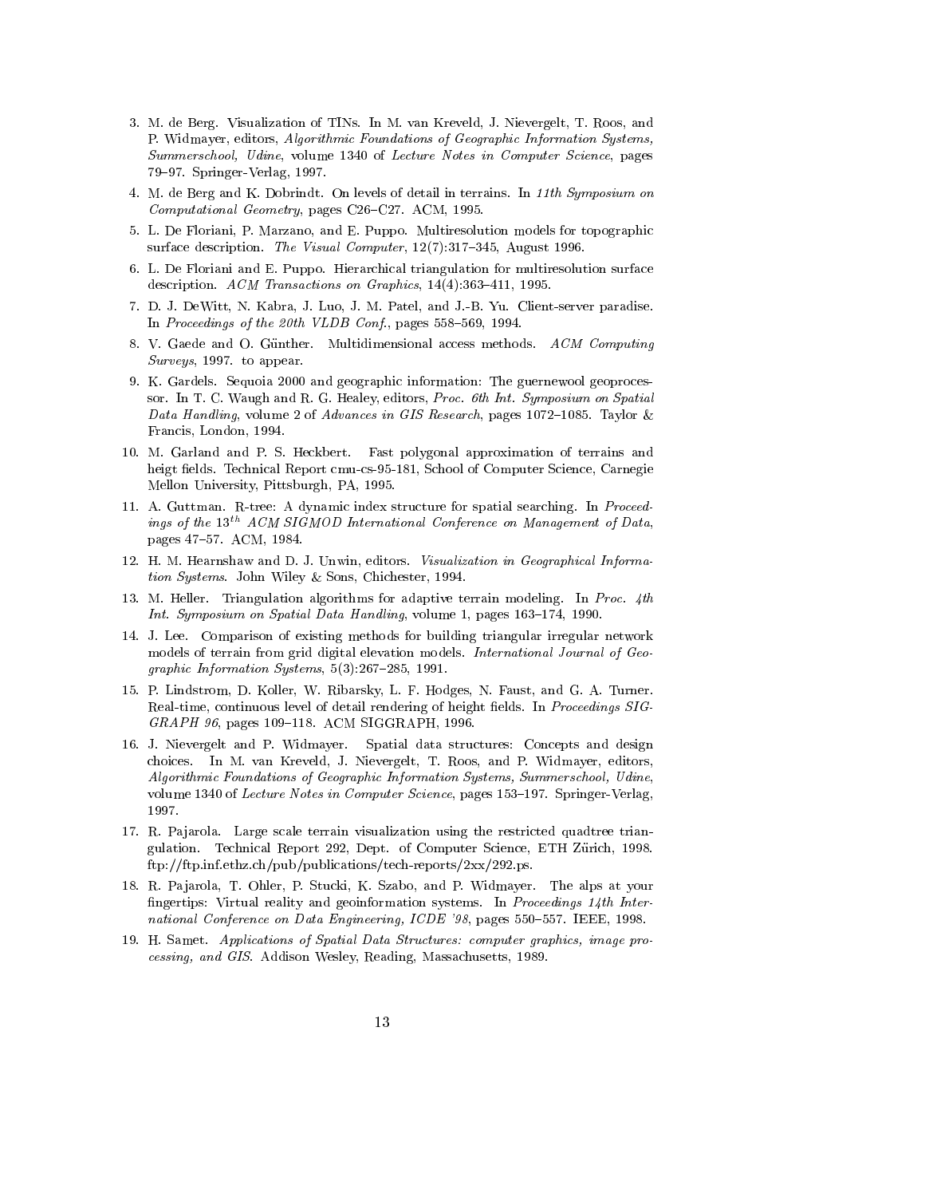- 3. M. de Berg. Visualization of TINs. In M. van Kreveld, J. Nievergelt, T. Roos, and P. Widmayer, editors, Algorithmic Foundations of Geographic Information Systems, Summerschool, Udine, volume 1340 of Lecture Notes in Computer Science, pages 79-97. Springer-Verlag, 1997.
- 4. M. de Berg and K. Dobrindt. On levels of detail in terrains. In 11th Symposium on  $Computational Geometry$ , pages C26–C27. ACM, 1995.
- 5. L. De Floriani, P. Marzano, and E. Puppo. Multiresolution models for topographic surface description. The Visual Computer,  $12(7):317-345$ , August 1996.
- 6. L. De Floriani and E. Puppo. Hierarchical triangulation for multiresolution surface description. ACM Transactions on Graphics,  $14(4):363-411$ , 1995.
- 7. D. J. DeWitt, N. Kabra, J. Luo, J. M. Patel, and J.-B. Yu. Client-server paradise. In Proceedings of the 20th VLDB Conf., pages  $558-569$ , 1994.
- 8. V. Gaede and O. Gunther. Multidimensional access methods. ACM Computing Surveys, 1997. to appear.
- 9. K. Gardels. Sequoia 2000 and geographic information: The guernewool geoproces sor. In T. C. Waugh and R. G. Healey, editors, Proc. 6th Int. Symposium on Spatial Data Handling, volume 2 of Advances in GIS Research, pages 1072-1085. Taylor & Francis, London, 1994.
- 10. M. Garland and P. S. Heckbert. Fast polygonal approximation of terrains and heigt fields. Technical Report cmu-cs-95-181, School of Computer Science, Carnegie Mellon University, Pittsburgh, PA, 1995.
- 11. A. Guttman. R-tree: A dynamic index structure for spatial searching. In Proceedings of the  $13^{th}$  ACM SIGMOD International Conference on Management of Data, pages 47-57. ACM, 1984.
- 12. H. M. Hearnshaw and D. J. Unwin, editors. Visualization in Geographical Information Systems. John Wiley & Sons, Chichester, 1994.
- 13. M. Heller. Triangulation algorithms for adaptive terrain modeling. In Proc.  $4th$ Int. Symposium on Spatial Data Handling, volume 1, pages 163-174, 1990.
- 14. J. Lee. Comparison of existing methods for building triangular irregular network models of terrain from grid digital elevation models. International Journal of Geo graphic Information Systems,  $5(3):267-285$ , 1991.
- 15. P. Lindstrom, D. Koller, W. Ribarsky, L. F. Hodges, N. Faust, and G. A. Turner. Real-time, continuous level of detail rendering of height fields. In *Proceedings SIG-*GRAPH 96, pages 109-118. ACM SIGGRAPH, 1996.
- 16. J. Nievergelt and P. Widmayer. Spatial data structures: Concepts and design choices. In M. van Kreveld, J. Nievergelt, T. Roos, and P. Widmayer, editors, Algorithmic Foundations of Geographic Information Systems, Summerschool, Udine, volume 1340 of Lecture Notes in Computer Science, pages  $153-197$ . Springer-Verlag, 1997.
- 17. R. Pajarola. Large scale terrain visualization using the restricted quadtree triangulation. Technical Report 292, Dept. of Computer Science, ETH Zurich, 1998. ftp://ftp.inf.ethz.ch/pub/publications/tech-reports/2xx/292.ps.
- 18. R. Pa jarola, T. Ohler, P. Stucki, K. Szabo, and P. Widmayer. The alps at your fingertips: Virtual reality and geoinformation systems. In Proceedings 14th International Conference on Data Engineering, ICDE '98, pages 550-557. IEEE, 1998.
- 19. H. Samet. Applications of Spatial Data Structures: computer graphics, image pro cessing, and GIS. Addison Wesley, Reading, Massachusetts, 1989.